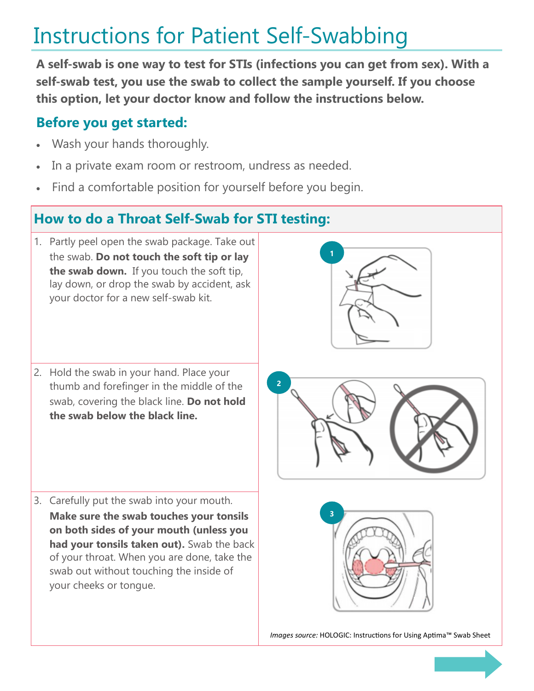## Instructions for Patient Self-Swabbing

**A self-swab is one way to test for STIs (infections you can get from sex). With a self-swab test, you use the swab to collect the sample yourself. If you choose this option, let your doctor know and follow the instructions below.**

## **Before you get started:**

- Wash your hands thoroughly.
- In a private exam room or restroom, undress as needed.
- Find a comfortable position for yourself before you begin.